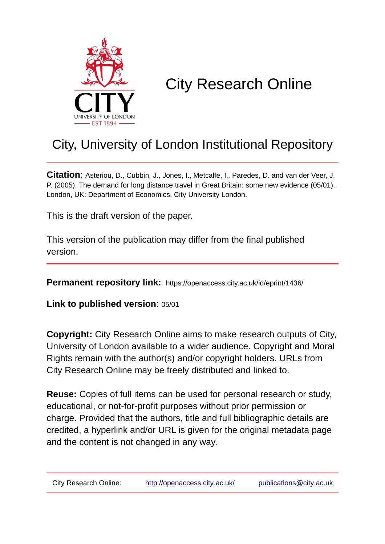

# City Research Online

# City, University of London Institutional Repository

**Citation**: Asteriou, D., Cubbin, J., Jones, I., Metcalfe, I., Paredes, D. and van der Veer, J. P. (2005). The demand for long distance travel in Great Britain: some new evidence (05/01). London, UK: Department of Economics, City University London.

This is the draft version of the paper.

This version of the publication may differ from the final published version.

**Permanent repository link:** https://openaccess.city.ac.uk/id/eprint/1436/

**Link to published version**: 05/01

**Copyright:** City Research Online aims to make research outputs of City, University of London available to a wider audience. Copyright and Moral Rights remain with the author(s) and/or copyright holders. URLs from City Research Online may be freely distributed and linked to.

**Reuse:** Copies of full items can be used for personal research or study, educational, or not-for-profit purposes without prior permission or charge. Provided that the authors, title and full bibliographic details are credited, a hyperlink and/or URL is given for the original metadata page and the content is not changed in any way.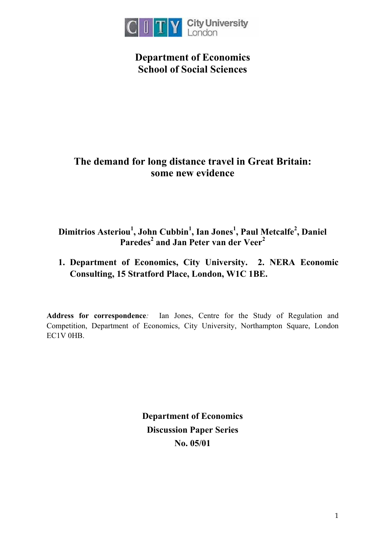

**Department of Economics School of Social Sciences** 

# **The demand for long distance travel in Great Britain: some new evidence**

# **Dimitrios Asteriou1 , John Cubbin<sup>1</sup> , Ian Jones<sup>1</sup> , Paul Metcalfe2 , Daniel Paredes<sup>2</sup> and Jan Peter van der Veer<sup>2</sup>**

**1. Department of Economics, City University. 2. NERA Economic Consulting, 15 Stratford Place, London, W1C 1BE.** 

**Address for correspondence***:* Ian Jones, Centre for the Study of Regulation and Competition, Department of Economics, City University, Northampton Square, London EC1V 0HB

> **Department of Economics Discussion Paper Series No. 05/01**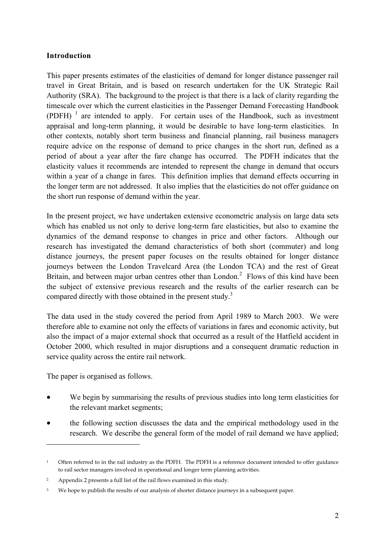# **Introduction**

This paper presents estimates of the elasticities of demand for longer distance passenger rail travel in Great Britain, and is based on research undertaken for the UK Strategic Rail Authority (SRA). The background to the project is that there is a lack of clarity regarding the timescale over which the current elasticities in the Passenger Demand Forecasting Handbook  $(PDFH)^{-1}$  are intended to apply. For certain uses of the Handbook, such as investment appraisal and long-term planning, it would be desirable to have long-term elasticities. In other contexts, notably short term business and financial planning, rail business managers require advice on the response of demand to price changes in the short run, defined as a period of about a year after the fare change has occurred. The PDFH indicates that the elasticity values it recommends are intended to represent the change in demand that occurs within a year of a change in fares. This definition implies that demand effects occurring in the longer term are not addressed. It also implies that the elasticities do not offer guidance on the short run response of demand within the year.

In the present project, we have undertaken extensive econometric analysis on large data sets which has enabled us not only to derive long-term fare elasticities, but also to examine the dynamics of the demand response to changes in price and other factors. Although our research has investigated the demand characteristics of both short (commuter) and long distance journeys, the present paper focuses on the results obtained for longer distance journeys between the London Travelcard Area (the London TCA) and the rest of Great Britain, and between major urban centres other than  $London<sup>2</sup>$ . Flows of this kind have been the subject of extensive previous research and the results of the earlier research can be compared directly with those obtained in the present study.<sup>3</sup>

The data used in the study covered the period from April 1989 to March 2003. We were therefore able to examine not only the effects of variations in fares and economic activity, but also the impact of a major external shock that occurred as a result of the Hatfield accident in October 2000, which resulted in major disruptions and a consequent dramatic reduction in service quality across the entire rail network.

The paper is organised as follows.

 $\overline{a}$ 

- We begin by summarising the results of previous studies into long term elasticities for the relevant market segments;
- the following section discusses the data and the empirical methodology used in the research. We describe the general form of the model of rail demand we have applied;

<sup>1</sup> Often referred to in the rail industry as the PDFH. The PDFH is a reference document intended to offer guidance to rail sector managers involved in operational and longer term planning activities.

<sup>2</sup> Appendix 2 presents a full list of the rail flows examined in this study.

<sup>&</sup>lt;sup>3</sup> We hope to publish the results of our analysis of shorter distance journeys in a subsequent paper.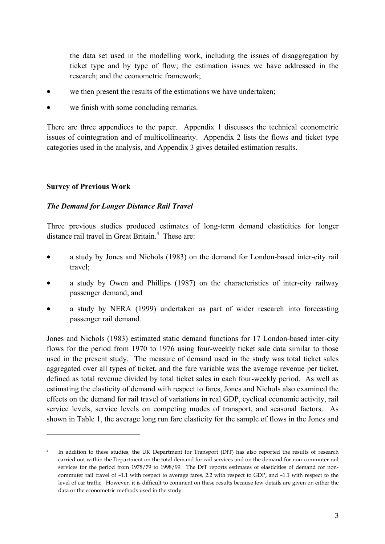the data set used in the modelling work, including the issues of disaggregation by ticket type and by type of flow; the estimation issues we have addressed in the research; and the econometric framework;

- we then present the results of the estimations we have undertaken;
- we finish with some concluding remarks.

There are three appendices to the paper. Appendix 1 discusses the technical econometric issues of cointegration and of multicollinearity. Appendix 2 lists the flows and ticket type categories used in the analysis, and Appendix 3 gives detailed estimation results.

#### **Survey of Previous Work**

 $\overline{a}$ 

#### *The Demand for Longer Distance Rail Travel*

Three previous studies produced estimates of long-term demand elasticities for longer distance rail travel in Great Britain.<sup>4</sup> These are:

- a study by Jones and Nichols (1983) on the demand for London-based inter-city rail travel;
- a study by Owen and Phillips (1987) on the characteristics of inter-city railway passenger demand; and
- a study by NERA (1999) undertaken as part of wider research into forecasting passenger rail demand.

Jones and Nichols (1983) estimated static demand functions for 17 London-based inter-city flows for the period from 1970 to 1976 using four-weekly ticket sale data similar to those used in the present study. The measure of demand used in the study was total ticket sales aggregated over all types of ticket, and the fare variable was the average revenue per ticket, defined as total revenue divided by total ticket sales in each four-weekly period. As well as estimating the elasticity of demand with respect to fares, Jones and Nichols also examined the effects on the demand for rail travel of variations in real GDP, cyclical economic activity, rail service levels, service levels on competing modes of transport, and seasonal factors. As shown in Table 1, the average long run fare elasticity for the sample of flows in the Jones and

<sup>&</sup>lt;sup>4</sup> In addition to these studies, the UK Department for Transport (DfT) has also reported the results of research carried out within the Department on the total demand for rail services and on the demand for non-commuter rail services for the period from 1978/79 to 1998/99. The DfT reports estimates of elasticities of demand for noncommuter rail travel of –1.1 with respect to average fares, 2.2 with respect to GDP, and –1.1 with respect to the level of car traffic. However, it is difficult to comment on these results because few details are given on either the data or the econometric methods used in the study.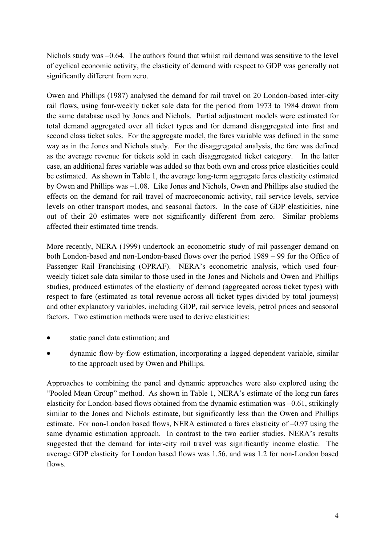Nichols study was  $-0.64$ . The authors found that whilst rail demand was sensitive to the level of cyclical economic activity, the elasticity of demand with respect to GDP was generally not significantly different from zero.

Owen and Phillips (1987) analysed the demand for rail travel on 20 London-based inter-city rail flows, using four-weekly ticket sale data for the period from 1973 to 1984 drawn from the same database used by Jones and Nichols. Partial adjustment models were estimated for total demand aggregated over all ticket types and for demand disaggregated into first and second class ticket sales. For the aggregate model, the fares variable was defined in the same way as in the Jones and Nichols study. For the disaggregated analysis, the fare was defined as the average revenue for tickets sold in each disaggregated ticket category. In the latter case, an additional fares variable was added so that both own and cross price elasticities could be estimated. As shown in Table 1, the average long-term aggregate fares elasticity estimated by Owen and Phillips was –1.08. Like Jones and Nichols, Owen and Phillips also studied the effects on the demand for rail travel of macroeconomic activity, rail service levels, service levels on other transport modes, and seasonal factors. In the case of GDP elasticities, nine out of their 20 estimates were not significantly different from zero. Similar problems affected their estimated time trends.

More recently, NERA (1999) undertook an econometric study of rail passenger demand on both London-based and non-London-based flows over the period 1989 – 99 for the Office of Passenger Rail Franchising (OPRAF). NERA's econometric analysis, which used fourweekly ticket sale data similar to those used in the Jones and Nichols and Owen and Phillips studies, produced estimates of the elasticity of demand (aggregated across ticket types) with respect to fare (estimated as total revenue across all ticket types divided by total journeys) and other explanatory variables, including GDP, rail service levels, petrol prices and seasonal factors. Two estimation methods were used to derive elasticities:

- static panel data estimation; and
- dynamic flow-by-flow estimation, incorporating a lagged dependent variable, similar to the approach used by Owen and Phillips.

Approaches to combining the panel and dynamic approaches were also explored using the "Pooled Mean Group" method. As shown in Table 1, NERA's estimate of the long run fares elasticity for London-based flows obtained from the dynamic estimation was –0.61, strikingly similar to the Jones and Nichols estimate, but significantly less than the Owen and Phillips estimate. For non-London based flows, NERA estimated a fares elasticity of –0.97 using the same dynamic estimation approach. In contrast to the two earlier studies, NERA's results suggested that the demand for inter-city rail travel was significantly income elastic. The average GDP elasticity for London based flows was 1.56, and was 1.2 for non-London based flows.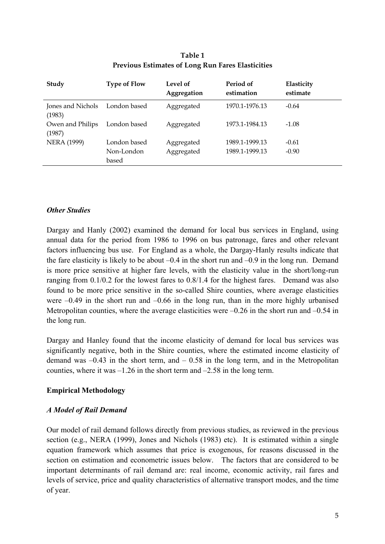| Study                       | <b>Type of Flow</b> | Level of<br>Aggregation | Period of<br>estimation | Elasticity<br>estimate |
|-----------------------------|---------------------|-------------------------|-------------------------|------------------------|
| Jones and Nichols<br>(1983) | London based        | Aggregated              | 1970.1-1976.13          | $-0.64$                |
| Owen and Philips<br>(1987)  | London based        | Aggregated              | 1973.1-1984.13          | $-1.08$                |
| <b>NERA (1999)</b>          | London based        | Aggregated              | 1989.1-1999.13          | $-0.61$                |
|                             | Non-London<br>based | Aggregated              | 1989.1-1999.13          | $-0.90$                |

#### **Table 1 Previous Estimates of Long Run Fares Elasticities**

# *Other Studies*

Dargay and Hanly (2002) examined the demand for local bus services in England, using annual data for the period from 1986 to 1996 on bus patronage, fares and other relevant factors influencing bus use. For England as a whole, the Dargay-Hanly results indicate that the fare elasticity is likely to be about  $-0.4$  in the short run and  $-0.9$  in the long run. Demand is more price sensitive at higher fare levels, with the elasticity value in the short/long-run ranging from 0.1/0.2 for the lowest fares to 0.8/1.4 for the highest fares. Demand was also found to be more price sensitive in the so-called Shire counties, where average elasticities were –0.49 in the short run and –0.66 in the long run, than in the more highly urbanised Metropolitan counties, where the average elasticities were  $-0.26$  in the short run and  $-0.54$  in the long run.

Dargay and Hanley found that the income elasticity of demand for local bus services was significantly negative, both in the Shire counties, where the estimated income elasticity of demand was  $-0.43$  in the short term, and  $-0.58$  in the long term, and in the Metropolitan counties, where it was –1.26 in the short term and –2.58 in the long term.

# **Empirical Methodology**

# *A Model of Rail Demand*

Our model of rail demand follows directly from previous studies, as reviewed in the previous section (e.g., NERA (1999), Jones and Nichols (1983) etc). It is estimated within a single equation framework which assumes that price is exogenous, for reasons discussed in the section on estimation and econometric issues below. The factors that are considered to be important determinants of rail demand are: real income, economic activity, rail fares and levels of service, price and quality characteristics of alternative transport modes, and the time of year.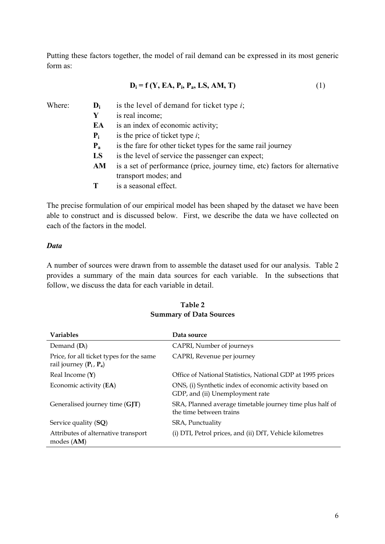Putting these factors together, the model of rail demand can be expressed in its most generic form as:

$$
\mathbf{D_i} = \mathbf{f} \left( \mathbf{Y}, \mathbf{EA}, \mathbf{P_i}, \mathbf{P_a}, \mathbf{LS}, \mathbf{AM}, \mathbf{T} \right) \tag{1}
$$

| Where: | $\mathbf{D}_{i}$ | is the level of demand for ticket type $i$ ;                               |
|--------|------------------|----------------------------------------------------------------------------|
|        | Y                | is real income;                                                            |
|        | EA               | is an index of economic activity;                                          |
|        | $P_i$            | is the price of ticket type $i$ ;                                          |
|        | $P_{a}$          | is the fare for other ticket types for the same rail journey               |
|        | LS               | is the level of service the passenger can expect;                          |
|        | AM               | is a set of performance (price, journey time, etc) factors for alternative |
|        |                  | transport modes; and                                                       |
|        |                  | is a seasonal effect.                                                      |

The precise formulation of our empirical model has been shaped by the dataset we have been able to construct and is discussed below. First, we describe the data we have collected on each of the factors in the model.

#### *Data*

A number of sources were drawn from to assemble the dataset used for our analysis. Table 2 provides a summary of the main data sources for each variable. In the subsections that follow, we discuss the data for each variable in detail.

| <b>Variables</b>                                                      | Data source                                                                               |
|-----------------------------------------------------------------------|-------------------------------------------------------------------------------------------|
| Demand $(D_i)$                                                        | CAPRI, Number of journeys                                                                 |
| Price, for all ticket types for the same<br>rail journey $(P_i, P_a)$ | CAPRI, Revenue per journey                                                                |
| Real Income $(Y)$                                                     | Office of National Statistics, National GDP at 1995 prices                                |
| Economic activity (EA)                                                | ONS, (i) Synthetic index of economic activity based on<br>GDP, and (ii) Unemployment rate |
| Generalised journey time (GJT)                                        | SRA, Planned average timetable journey time plus half of<br>the time between trains       |
| Service quality (SQ)                                                  | SRA, Punctuality                                                                          |
| Attributes of alternative transport<br>modes (AM)                     | (i) DTI, Petrol prices, and (ii) DfT, Vehicle kilometres                                  |

# **Table 2 Summary of Data Sources**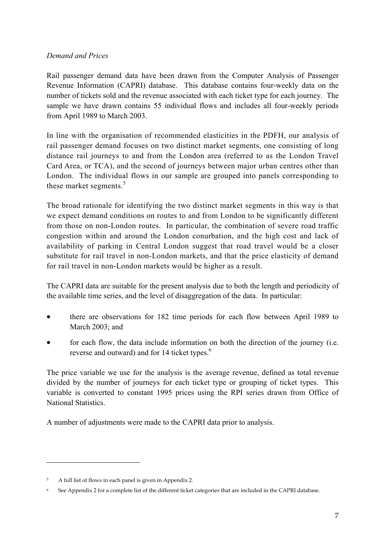# *Demand and Prices*

Rail passenger demand data have been drawn from the Computer Analysis of Passenger Revenue Information (CAPRI) database. This database contains four-weekly data on the number of tickets sold and the revenue associated with each ticket type for each journey. The sample we have drawn contains 55 individual flows and includes all four-weekly periods from April 1989 to March 2003.

In line with the organisation of recommended elasticities in the PDFH, our analysis of rail passenger demand focuses on two distinct market segments, one consisting of long distance rail journeys to and from the London area (referred to as the London Travel Card Area, or TCA), and the second of journeys between major urban centres other than London. The individual flows in our sample are grouped into panels corresponding to these market segments. $5$ 

The broad rationale for identifying the two distinct market segments in this way is that we expect demand conditions on routes to and from London to be significantly different from those on non-London routes. In particular, the combination of severe road traffic congestion within and around the London conurbation, and the high cost and lack of availability of parking in Central London suggest that road travel would be a closer substitute for rail travel in non-London markets, and that the price elasticity of demand for rail travel in non-London markets would be higher as a result.

The CAPRI data are suitable for the present analysis due to both the length and periodicity of the available time series, and the level of disaggregation of the data. In particular:

- there are observations for 182 time periods for each flow between April 1989 to March 2003; and
- for each flow, the data include information on both the direction of the journey (i.e. reverse and outward) and for 14 ticket types.<sup>6</sup>

The price variable we use for the analysis is the average revenue, defined as total revenue divided by the number of journeys for each ticket type or grouping of ticket types. This variable is converted to constant 1995 prices using the RPI series drawn from Office of National Statistics.

A number of adjustments were made to the CAPRI data prior to analysis.

 $\overline{a}$ 

<sup>5</sup> A full list of flows in each panel is given in Appendix 2.

<sup>6</sup> See Appendix 2 for a complete list of the different ticket categories that are included in the CAPRI database.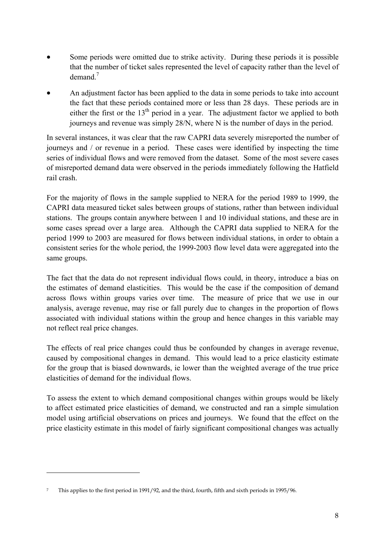- Some periods were omitted due to strike activity. During these periods it is possible that the number of ticket sales represented the level of capacity rather than the level of demand. $<sup>7</sup>$ </sup>
- An adjustment factor has been applied to the data in some periods to take into account the fact that these periods contained more or less than 28 days. These periods are in either the first or the  $13<sup>th</sup>$  period in a year. The adjustment factor we applied to both journeys and revenue was simply 28/N, where N is the number of days in the period.

In several instances, it was clear that the raw CAPRI data severely misreported the number of journeys and / or revenue in a period. These cases were identified by inspecting the time series of individual flows and were removed from the dataset. Some of the most severe cases of misreported demand data were observed in the periods immediately following the Hatfield rail crash.

For the majority of flows in the sample supplied to NERA for the period 1989 to 1999, the CAPRI data measured ticket sales between groups of stations, rather than between individual stations. The groups contain anywhere between 1 and 10 individual stations, and these are in some cases spread over a large area. Although the CAPRI data supplied to NERA for the period 1999 to 2003 are measured for flows between individual stations, in order to obtain a consistent series for the whole period, the 1999-2003 flow level data were aggregated into the same groups.

The fact that the data do not represent individual flows could, in theory, introduce a bias on the estimates of demand elasticities. This would be the case if the composition of demand across flows within groups varies over time. The measure of price that we use in our analysis, average revenue, may rise or fall purely due to changes in the proportion of flows associated with individual stations within the group and hence changes in this variable may not reflect real price changes.

The effects of real price changes could thus be confounded by changes in average revenue, caused by compositional changes in demand. This would lead to a price elasticity estimate for the group that is biased downwards, ie lower than the weighted average of the true price elasticities of demand for the individual flows.

To assess the extent to which demand compositional changes within groups would be likely to affect estimated price elasticities of demand, we constructed and ran a simple simulation model using artificial observations on prices and journeys. We found that the effect on the price elasticity estimate in this model of fairly significant compositional changes was actually

 $\overline{a}$ 

<sup>7</sup> This applies to the first period in 1991/92, and the third, fourth, fifth and sixth periods in 1995/96.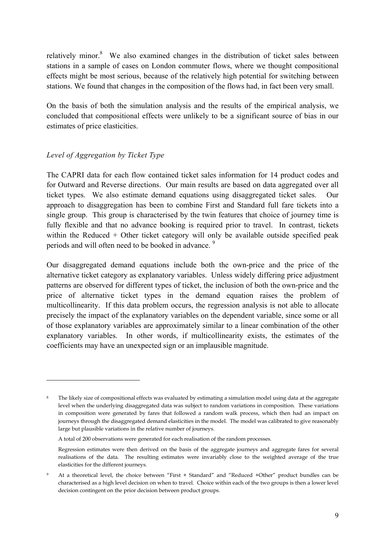relatively minor. $8$  We also examined changes in the distribution of ticket sales between stations in a sample of cases on London commuter flows, where we thought compositional effects might be most serious, because of the relatively high potential for switching between stations. We found that changes in the composition of the flows had, in fact been very small.

On the basis of both the simulation analysis and the results of the empirical analysis, we concluded that compositional effects were unlikely to be a significant source of bias in our estimates of price elasticities.

# *Level of Aggregation by Ticket Type*

 $\overline{a}$ 

The CAPRI data for each flow contained ticket sales information for 14 product codes and for Outward and Reverse directions. Our main results are based on data aggregated over all ticket types. We also estimate demand equations using disaggregated ticket sales. Our approach to disaggregation has been to combine First and Standard full fare tickets into a single group. This group is characterised by the twin features that choice of journey time is fully flexible and that no advance booking is required prior to travel. In contrast, tickets within the Reduced + Other ticket category will only be available outside specified peak periods and will often need to be booked in advance.<sup>9</sup>

Our disaggregated demand equations include both the own-price and the price of the alternative ticket category as explanatory variables. Unless widely differing price adjustment patterns are observed for different types of ticket, the inclusion of both the own-price and the price of alternative ticket types in the demand equation raises the problem of multicollinearity. If this data problem occurs, the regression analysis is not able to allocate precisely the impact of the explanatory variables on the dependent variable, since some or all of those explanatory variables are approximately similar to a linear combination of the other explanatory variables. In other words, if multicollinearity exists, the estimates of the coefficients may have an unexpected sign or an implausible magnitude.

The likely size of compositional effects was evaluated by estimating a simulation model using data at the aggregate level when the underlying disaggregated data was subject to random variations in composition. These variations in composition were generated by fares that followed a random walk process, which then had an impact on journeys through the disaggregated demand elasticities in the model. The model was calibrated to give reasonably large but plausible variations in the relative number of journeys.

A total of 200 observations were generated for each realisation of the random processes.

Regression estimates were then derived on the basis of the aggregate journeys and aggregate fares for several realisations of the data. The resulting estimates were invariably close to the weighted average of the true elasticities for the different journeys.

<sup>9</sup> At a theoretical level, the choice between "First + Standard" and "Reduced +Other" product bundles can be characterised as a high level decision on when to travel. Choice within each of the two groups is then a lower level decision contingent on the prior decision between product groups.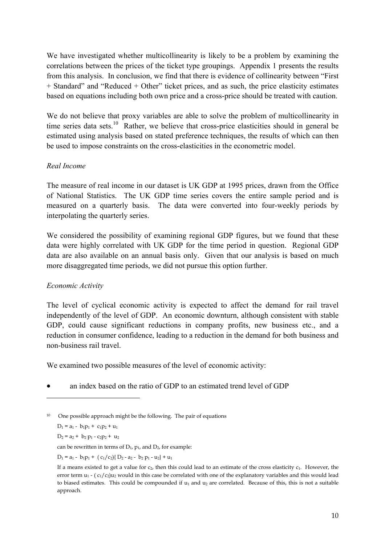We have investigated whether multicollinearity is likely to be a problem by examining the correlations between the prices of the ticket type groupings. Appendix 1 presents the results from this analysis. In conclusion, we find that there is evidence of collinearity between "First + Standard" and "Reduced + Other" ticket prices, and as such, the price elasticity estimates based on equations including both own price and a cross-price should be treated with caution.

We do not believe that proxy variables are able to solve the problem of multicollinearity in time series data sets.<sup>10</sup> Rather, we believe that cross-price elasticities should in general be estimated using analysis based on stated preference techniques, the results of which can then be used to impose constraints on the cross-elasticities in the econometric model.

#### *Real Income*

The measure of real income in our dataset is UK GDP at 1995 prices, drawn from the Office of National Statistics. The UK GDP time series covers the entire sample period and is measured on a quarterly basis. The data were converted into four-weekly periods by interpolating the quarterly series.

We considered the possibility of examining regional GDP figures, but we found that these data were highly correlated with UK GDP for the time period in question. Regional GDP data are also available on an annual basis only. Given that our analysis is based on much more disaggregated time periods, we did not pursue this option further.

# *Economic Activity*

The level of cyclical economic activity is expected to affect the demand for rail travel independently of the level of GDP. An economic downturn, although consistent with stable GDP, could cause significant reductions in company profits, new business etc., and a reduction in consumer confidence, leading to a reduction in the demand for both business and non-business rail travel.

We examined two possible measures of the level of economic activity:

• an index based on the ratio of GDP to an estimated trend level of GDP

 $D_1 = a_1 - b_1p_1 + c_1p_2 + u_1$ 

 $\overline{a}$ 

 $D_2 = a_2 + b_2 p_1 - c_2 p_2 + u_2$ 

can be rewritten in terms of  $D_1$ ,  $p_1$ , and  $D_2$ , for example:

 $D_1 = a_1 - b_1p_1 + (c_1/c_2)$   $D_2 - a_2 - b_2 p_1 - u_2$   $+ u_1$ 

<sup>&</sup>lt;sup>10</sup> One possible approach might be the following. The pair of equations

If a means existed to get a value for  $c_2$ , then this could lead to an estimate of the cross elasticity  $c_1$ . However, the error term  $u_1$  -  $(c_1/c_2)u_2$  would in this case be correlated with one of the explanatory variables and this would lead to biased estimates. This could be compounded if  $u_1$  and  $u_2$  are correlated. Because of this, this is not a suitable approach.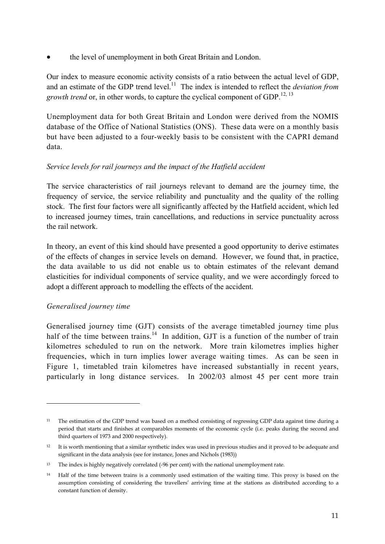• the level of unemployment in both Great Britain and London.

Our index to measure economic activity consists of a ratio between the actual level of GDP, and an estimate of the GDP trend level.<sup>11</sup> The index is intended to reflect the *deviation from growth trend* or, in other words, to capture the cyclical component of GDP.<sup>12, 13</sup>

Unemployment data for both Great Britain and London were derived from the NOMIS database of the Office of National Statistics (ONS). These data were on a monthly basis but have been adjusted to a four-weekly basis to be consistent with the CAPRI demand data.

# *Service levels for rail journeys and the impact of the Hatfield accident*

The service characteristics of rail journeys relevant to demand are the journey time, the frequency of service, the service reliability and punctuality and the quality of the rolling stock. The first four factors were all significantly affected by the Hatfield accident, which led to increased journey times, train cancellations, and reductions in service punctuality across the rail network.

In theory, an event of this kind should have presented a good opportunity to derive estimates of the effects of changes in service levels on demand. However, we found that, in practice, the data available to us did not enable us to obtain estimates of the relevant demand elasticities for individual components of service quality, and we were accordingly forced to adopt a different approach to modelling the effects of the accident.

# *Generalised journey time*

 $\overline{a}$ 

Generalised journey time (GJT) consists of the average timetabled journey time plus half of the time between trains.<sup>14</sup> In addition, GJT is a function of the number of train kilometres scheduled to run on the network. More train kilometres implies higher frequencies, which in turn implies lower average waiting times. As can be seen in Figure 1, timetabled train kilometres have increased substantially in recent years, particularly in long distance services. In 2002/03 almost 45 per cent more train

<sup>&</sup>lt;sup>11</sup> The estimation of the GDP trend was based on a method consisting of regressing GDP data against time during a period that starts and finishes at comparables moments of the economic cycle (i.e. peaks during the second and third quarters of 1973 and 2000 respectively).

<sup>&</sup>lt;sup>12</sup> It is worth mentioning that a similar synthetic index was used in previous studies and it proved to be adequate and significant in the data analysis (see for instance, Jones and Nichols (1983))

<sup>&</sup>lt;sup>13</sup> The index is highly negatively correlated (-96 per cent) with the national unemployment rate.

<sup>14</sup> Half of the time between trains is a commonly used estimation of the waiting time. This proxy is based on the assumption consisting of considering the travellers' arriving time at the stations as distributed according to a constant function of density.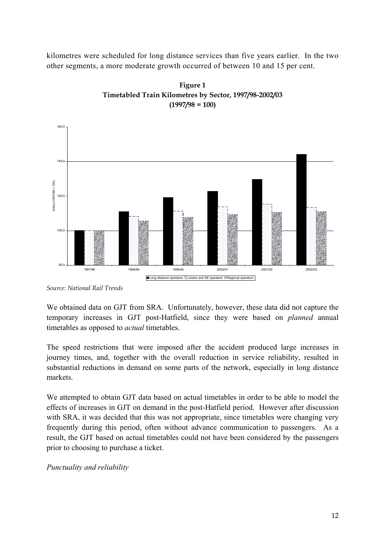kilometres were scheduled for long distance services than five years earlier. In the two other segments, a more moderate growth occurred of between 10 and 15 per cent.





*Source: National Rail Trends* 

We obtained data on GJT from SRA. Unfortunately, however, these data did not capture the temporary increases in GJT post-Hatfield, since they were based on *planned* annual timetables as opposed to *actual* timetables.

The speed restrictions that were imposed after the accident produced large increases in journey times, and, together with the overall reduction in service reliability, resulted in substantial reductions in demand on some parts of the network, especially in long distance markets.

We attempted to obtain GJT data based on actual timetables in order to be able to model the effects of increases in GJT on demand in the post-Hatfield period. However after discussion with SRA, it was decided that this was not appropriate, since timetables were changing very frequently during this period, often without advance communication to passengers. As a result, the GJT based on actual timetables could not have been considered by the passengers prior to choosing to purchase a ticket.

*Punctuality and reliability*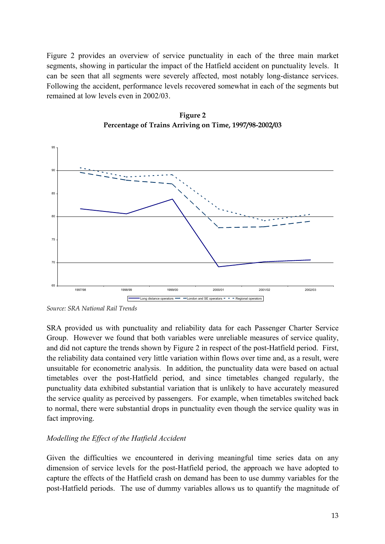Figure 2 provides an overview of service punctuality in each of the three main market segments, showing in particular the impact of the Hatfield accident on punctuality levels. It can be seen that all segments were severely affected, most notably long-distance services. Following the accident, performance levels recovered somewhat in each of the segments but remained at low levels even in 2002/03.





SRA provided us with punctuality and reliability data for each Passenger Charter Service Group. However we found that both variables were unreliable measures of service quality, and did not capture the trends shown by Figure 2 in respect of the post-Hatfield period. First, the reliability data contained very little variation within flows over time and, as a result, were unsuitable for econometric analysis. In addition, the punctuality data were based on actual timetables over the post-Hatfield period, and since timetables changed regularly, the punctuality data exhibited substantial variation that is unlikely to have accurately measured the service quality as perceived by passengers. For example, when timetables switched back to normal, there were substantial drops in punctuality even though the service quality was in fact improving.

# *Modelling the Effect of the Hatfield Accident*

Given the difficulties we encountered in deriving meaningful time series data on any dimension of service levels for the post-Hatfield period, the approach we have adopted to capture the effects of the Hatfield crash on demand has been to use dummy variables for the post-Hatfield periods. The use of dummy variables allows us to quantify the magnitude of

*Source: SRA National Rail Trends*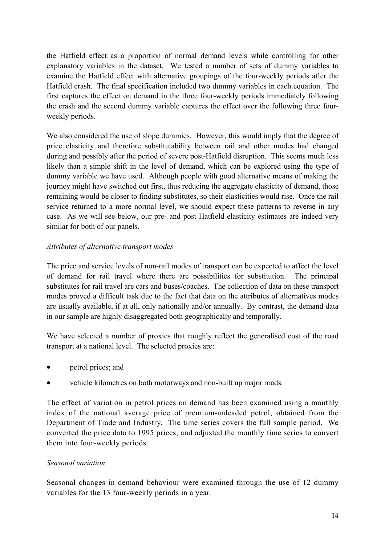the Hatfield effect as a proportion of normal demand levels while controlling for other explanatory variables in the dataset. We tested a number of sets of dummy variables to examine the Hatfield effect with alternative groupings of the four-weekly periods after the Hatfield crash. The final specification included two dummy variables in each equation. The first captures the effect on demand in the three four-weekly periods immediately following the crash and the second dummy variable captures the effect over the following three fourweekly periods.

We also considered the use of slope dummies. However, this would imply that the degree of price elasticity and therefore substitutability between rail and other modes had changed during and possibly after the period of severe post-Hatfield disruption. This seems much less likely than a simple shift in the level of demand, which can be explored using the type of dummy variable we have used. Although people with good alternative means of making the journey might have switched out first, thus reducing the aggregate elasticity of demand, those remaining would be closer to finding substitutes, so their elasticities would rise. Once the rail service returned to a more normal level, we should expect these patterns to reverse in any case. As we will see below, our pre- and post Hatfield elasticity estimates are indeed very similar for both of our panels.

# *Attributes of alternative transport modes*

The price and service levels of non-rail modes of transport can be expected to affect the level of demand for rail travel where there are possibilities for substitution. The principal substitutes for rail travel are cars and buses/coaches. The collection of data on these transport modes proved a difficult task due to the fact that data on the attributes of alternatives modes are usually available, if at all, only nationally and/or annually. By contrast, the demand data in our sample are highly disaggregated both geographically and temporally.

We have selected a number of proxies that roughly reflect the generalised cost of the road transport at a national level. The selected proxies are:

- petrol prices; and
- vehicle kilometres on both motorways and non-built up major roads.

The effect of variation in petrol prices on demand has been examined using a monthly index of the national average price of premium-unleaded petrol, obtained from the Department of Trade and Industry. The time series covers the full sample period. We converted the price data to 1995 prices, and adjusted the monthly time series to convert them into four-weekly periods.

# *Seasonal variation*

Seasonal changes in demand behaviour were examined through the use of 12 dummy variables for the 13 four-weekly periods in a year.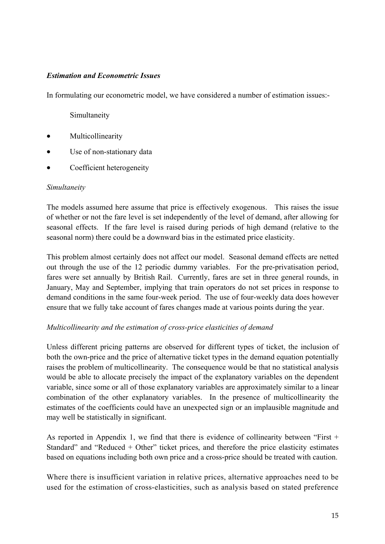# *Estimation and Econometric Issues*

In formulating our econometric model, we have considered a number of estimation issues:-

# Simultaneity

- Multicollinearity
- Use of non-stationary data
- Coefficient heterogeneity

#### *Simultaneity*

The models assumed here assume that price is effectively exogenous. This raises the issue of whether or not the fare level is set independently of the level of demand, after allowing for seasonal effects. If the fare level is raised during periods of high demand (relative to the seasonal norm) there could be a downward bias in the estimated price elasticity.

This problem almost certainly does not affect our model. Seasonal demand effects are netted out through the use of the 12 periodic dummy variables. For the pre-privatisation period, fares were set annually by British Rail. Currently, fares are set in three general rounds, in January, May and September, implying that train operators do not set prices in response to demand conditions in the same four-week period. The use of four-weekly data does however ensure that we fully take account of fares changes made at various points during the year.

# *Multicollinearity and the estimation of cross-price elasticities of demand*

Unless different pricing patterns are observed for different types of ticket, the inclusion of both the own-price and the price of alternative ticket types in the demand equation potentially raises the problem of multicollinearity. The consequence would be that no statistical analysis would be able to allocate precisely the impact of the explanatory variables on the dependent variable, since some or all of those explanatory variables are approximately similar to a linear combination of the other explanatory variables. In the presence of multicollinearity the estimates of the coefficients could have an unexpected sign or an implausible magnitude and may well be statistically in significant.

As reported in Appendix 1, we find that there is evidence of collinearity between "First + Standard" and "Reduced + Other" ticket prices, and therefore the price elasticity estimates based on equations including both own price and a cross-price should be treated with caution.

Where there is insufficient variation in relative prices, alternative approaches need to be used for the estimation of cross-elasticities, such as analysis based on stated preference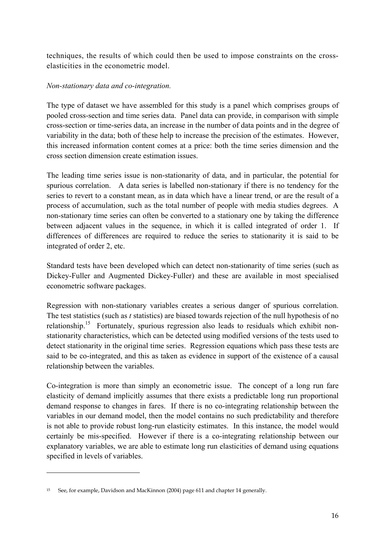techniques, the results of which could then be used to impose constraints on the crosselasticities in the econometric model.

#### *Non-stationary data and co-integration.*

The type of dataset we have assembled for this study is a panel which comprises groups of pooled cross-section and time series data. Panel data can provide, in comparison with simple cross-section or time-series data, an increase in the number of data points and in the degree of variability in the data; both of these help to increase the precision of the estimates. However, this increased information content comes at a price: both the time series dimension and the cross section dimension create estimation issues.

The leading time series issue is non-stationarity of data, and in particular, the potential for spurious correlation. A data series is labelled non-stationary if there is no tendency for the series to revert to a constant mean, as in data which have a linear trend, or are the result of a process of accumulation, such as the total number of people with media studies degrees. A non-stationary time series can often be converted to a stationary one by taking the difference between adjacent values in the sequence, in which it is called integrated of order 1. If differences of differences are required to reduce the series to stationarity it is said to be integrated of order 2, etc.

Standard tests have been developed which can detect non-stationarity of time series (such as Dickey-Fuller and Augmented Dickey-Fuller) and these are available in most specialised econometric software packages.

Regression with non-stationary variables creates a serious danger of spurious correlation. The test statistics (such as *t* statistics) are biased towards rejection of the null hypothesis of no relationship.<sup>15</sup> Fortunately, spurious regression also leads to residuals which exhibit nonstationarity characteristics, which can be detected using modified versions of the tests used to detect stationarity in the original time series. Regression equations which pass these tests are said to be co-integrated, and this as taken as evidence in support of the existence of a causal relationship between the variables.

Co-integration is more than simply an econometric issue. The concept of a long run fare elasticity of demand implicitly assumes that there exists a predictable long run proportional demand response to changes in fares. If there is no co-integrating relationship between the variables in our demand model, then the model contains no such predictability and therefore is not able to provide robust long-run elasticity estimates. In this instance, the model would certainly be mis-specified. However if there is a co-integrating relationship between our explanatory variables, we are able to estimate long run elasticities of demand using equations specified in levels of variables.

 $\overline{a}$ 

<sup>15</sup> See, for example, Davidson and MacKinnon (2004) page 611 and chapter 14 generally.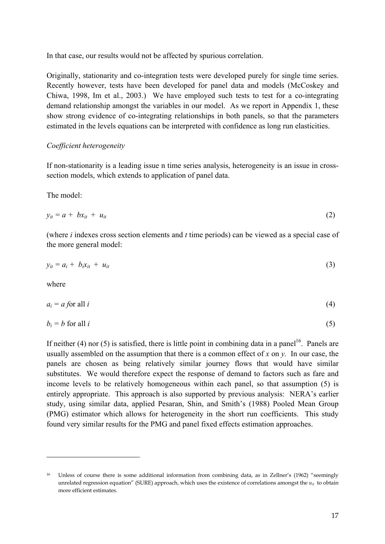In that case, our results would not be affected by spurious correlation.

Originally, stationarity and co-integration tests were developed purely for single time series. Recently however, tests have been developed for panel data and models (McCoskey and Chiwa, 1998, Im et al., 2003.) We have employed such tests to test for a co-integrating demand relationship amongst the variables in our model. As we report in Appendix 1, these show strong evidence of co-integrating relationships in both panels, so that the parameters estimated in the levels equations can be interpreted with confidence as long run elasticities.

# *Coefficient heterogeneity*

If non-stationarity is a leading issue n time series analysis, heterogeneity is an issue in crosssection models, which extends to application of panel data.

The model:

$$
y_{it} = a + bx_{it} + u_{it} \tag{2}
$$

(where *i* indexes cross section elements and *t* time periods) can be viewed as a special case of the more general model:

$$
y_{it} = a_i + b_i x_{it} + u_{it} \tag{3}
$$

where

 $\overline{a}$ 

$$
a_i = a \text{ for all } i \tag{4}
$$

$$
b_i = b \text{ for all } i \tag{5}
$$

If neither (4) nor (5) is satisfied, there is little point in combining data in a panel<sup>16</sup>. Panels are usually assembled on the assumption that there is a common effect of *x* on *y.* In our case, the panels are chosen as being relatively similar journey flows that would have similar substitutes. We would therefore expect the response of demand to factors such as fare and income levels to be relatively homogeneous within each panel, so that assumption (5) is entirely appropriate. This approach is also supported by previous analysis: NERA's earlier study, using similar data, applied Pesaran, Shin, and Smith's (1988) Pooled Mean Group (PMG) estimator which allows for heterogeneity in the short run coefficients. This study found very similar results for the PMG and panel fixed effects estimation approaches.

<sup>16</sup> Unless of course there is some additional information from combining data, as in Zellner's (1962) "seemingly unrelated regression equation" (SURE) approach, which uses the existence of correlations amongst the  $u_{it}$  to obtain more efficient estimates.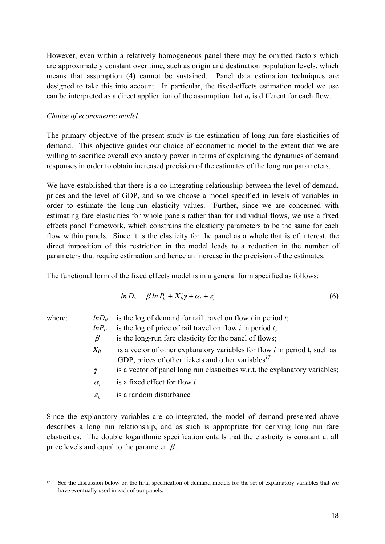However, even within a relatively homogeneous panel there may be omitted factors which are approximately constant over time, such as origin and destination population levels, which means that assumption (4) cannot be sustained. Panel data estimation techniques are designed to take this into account. In particular, the fixed-effects estimation model we use can be interpreted as a direct application of the assumption that *ai* is different for each flow.

#### *Choice of econometric model*

The primary objective of the present study is the estimation of long run fare elasticities of demand. This objective guides our choice of econometric model to the extent that we are willing to sacrifice overall explanatory power in terms of explaining the dynamics of demand responses in order to obtain increased precision of the estimates of the long run parameters.

We have established that there is a co-integrating relationship between the level of demand, prices and the level of GDP, and so we choose a model specified in levels of variables in order to estimate the long-run elasticity values. Further, since we are concerned with estimating fare elasticities for whole panels rather than for individual flows, we use a fixed effects panel framework, which constrains the elasticity parameters to be the same for each flow within panels. Since it is the elasticity for the panel as a whole that is of interest, the direct imposition of this restriction in the model leads to a reduction in the number of parameters that require estimation and hence an increase in the precision of the estimates.

The functional form of the fixed effects model is in a general form specified as follows:

$$
ln D_{ii} = \beta ln P_{ii} + X_{ii}' \gamma + \alpha_i + \varepsilon_{ii}
$$
\n<sup>(6)</sup>

 $\overline{a}$ 

where:  $lnD_{it}$  is the log of demand for rail travel on flow *i* in period *t*;

- $ln P_{it}$  is the log of price of rail travel on flow *i* in period *t*;
- $\beta$  is the long-run fare elasticity for the panel of flows;
- $X_{it}$  is a vector of other explanatory variables for flow *i* in period t, such as GDP, prices of other tickets and other variables<sup>17</sup>
- *γ* is a vector of panel long run elasticities w.r.t. the explanatory variables;
- <sup>α</sup>*i* is a fixed effect for flow *i*
- $\varepsilon$ <sub>*it*</sub> is a random disturbance

Since the explanatory variables are co-integrated, the model of demand presented above describes a long run relationship, and as such is appropriate for deriving long run fare elasticities. The double logarithmic specification entails that the elasticity is constant at all price levels and equal to the parameter  $\beta$ .

<sup>&</sup>lt;sup>17</sup> See the discussion below on the final specification of demand models for the set of explanatory variables that we have eventually used in each of our panels.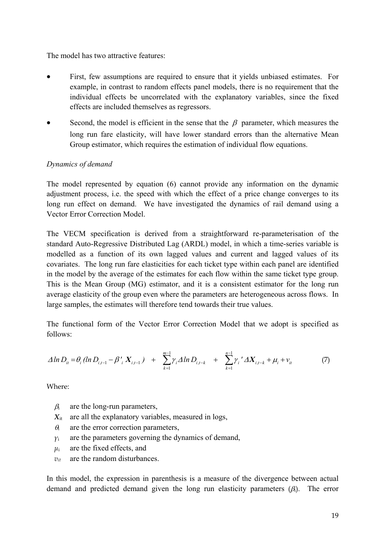The model has two attractive features:

- First, few assumptions are required to ensure that it yields unbiased estimates. For example, in contrast to random effects panel models, there is no requirement that the individual effects be uncorrelated with the explanatory variables, since the fixed effects are included themselves as regressors.
- Second, the model is efficient in the sense that the  $\beta$  parameter, which measures the long run fare elasticity, will have lower standard errors than the alternative Mean Group estimator, which requires the estimation of individual flow equations.

# *Dynamics of demand*

The model represented by equation (6) cannot provide any information on the dynamic adjustment process, i.e. the speed with which the effect of a price change converges to its long run effect on demand. We have investigated the dynamics of rail demand using a Vector Error Correction Model.

The VECM specification is derived from a straightforward re-parameterisation of the standard Auto-Regressive Distributed Lag (ARDL) model, in which a time-series variable is modelled as a function of its own lagged values and current and lagged values of its covariates. The long run fare elasticities for each ticket type within each panel are identified in the model by the average of the estimates for each flow within the same ticket type group. This is the Mean Group (MG) estimator, and it is a consistent estimator for the long run average elasticity of the group even where the parameters are heterogeneous across flows. In large samples, the estimates will therefore tend towards their true values.

The functional form of the Vector Error Correction Model that we adopt is specified as follows:

$$
\Delta \ln D_{it} = \theta_i (\ln D_{i,t-1} - \beta'_{i} X_{i,t-1}) + \sum_{k=1}^{m-1} \gamma_i \Delta \ln D_{i,t-k} + \sum_{k=1}^{n-1} \gamma_i' \Delta X_{i,t-k} + \mu_i + \nu_{it}
$$
(7)

Where:

- $\beta_i$  are the long-run parameters,
- $X_{it}$  are all the explanatory variables, measured in logs,
- $\theta_1$  are the error correction parameters,
- $\gamma$ <sup>i</sup> are the parameters governing the dynamics of demand,
- $\mu_i$  are the fixed effects, and
- $v_{it}$  are the random disturbances.

In this model, the expression in parenthesis is a measure of the divergence between actual demand and predicted demand given the long run elasticity parameters  $(\beta_i)$ . The error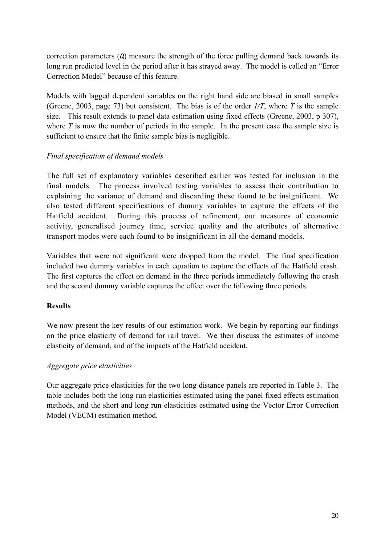correction parameters  $(\theta)$  measure the strength of the force pulling demand back towards its long run predicted level in the period after it has strayed away. The model is called an "Error Correction Model" because of this feature.

Models with lagged dependent variables on the right hand side are biased in small samples (Greene, 2003, page 73) but consistent. The bias is of the order *1/T*, where *T* is the sample size. This result extends to panel data estimation using fixed effects (Greene, 2003, p 307), where *T* is now the number of periods in the sample. In the present case the sample size is sufficient to ensure that the finite sample bias is negligible.

# *Final specification of demand models*

The full set of explanatory variables described earlier was tested for inclusion in the final models. The process involved testing variables to assess their contribution to explaining the variance of demand and discarding those found to be insignificant. We also tested different specifications of dummy variables to capture the effects of the Hatfield accident. During this process of refinement, our measures of economic activity, generalised journey time, service quality and the attributes of alternative transport modes were each found to be insignificant in all the demand models.

Variables that were not significant were dropped from the model. The final specification included two dummy variables in each equation to capture the effects of the Hatfield crash. The first captures the effect on demand in the three periods immediately following the crash and the second dummy variable captures the effect over the following three periods.

# **Results**

We now present the key results of our estimation work. We begin by reporting our findings on the price elasticity of demand for rail travel. We then discuss the estimates of income elasticity of demand, and of the impacts of the Hatfield accident.

# *Aggregate price elasticities*

Our aggregate price elasticities for the two long distance panels are reported in Table 3. The table includes both the long run elasticities estimated using the panel fixed effects estimation methods, and the short and long run elasticities estimated using the Vector Error Correction Model (VECM) estimation method.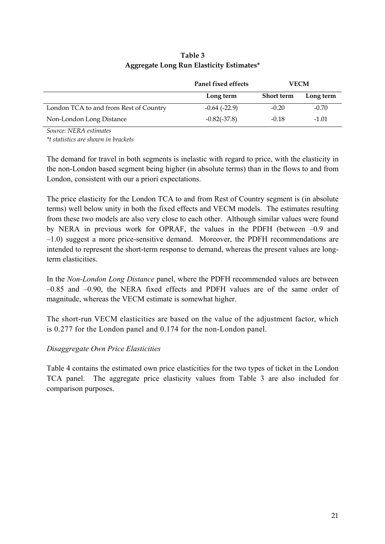|                                        | Panel fixed effects<br><b>VECM</b> |            |           |
|----------------------------------------|------------------------------------|------------|-----------|
|                                        | Long term                          | Short term | Long term |
| London TCA to and from Rest of Country | $-0.64$ ( $-22.9$ )                | $-0.20$    | $-0.70$   |
| Non-London Long Distance               | $-0.82(-37.8)$                     | $-0.18$    | $-1.01$   |

# **Table 3 Aggregate Long Run Elasticity Estimates\***

*Source: NERA estimates* 

*\*t statistics are shown in brackets* 

The demand for travel in both segments is inelastic with regard to price, with the elasticity in the non-London based segment being higher (in absolute terms) than in the flows to and from London, consistent with our a priori expectations.

The price elasticity for the London TCA to and from Rest of Country segment is (in absolute terms) well below unity in both the fixed effects and VECM models. The estimates resulting from these two models are also very close to each other. Although similar values were found by NERA in previous work for OPRAF, the values in the PDFH (between –0.9 and –1.0) suggest a more price-sensitive demand. Moreover, the PDFH recommendations are intended to represent the short-term response to demand, whereas the present values are longterm elasticities.

In the *Non-London Long Distance* panel, where the PDFH recommended values are between –0.85 and –0.90, the NERA fixed effects and PDFH values are of the same order of magnitude, whereas the VECM estimate is somewhat higher.

The short-run VECM elasticities are based on the value of the adjustment factor, which is 0.277 for the London panel and 0.174 for the non-London panel.

# *Disaggregate Own Price Elasticities*

Table 4 contains the estimated own price elasticities for the two types of ticket in the London TCA panel. The aggregate price elasticity values from Table 3 are also included for comparison purposes.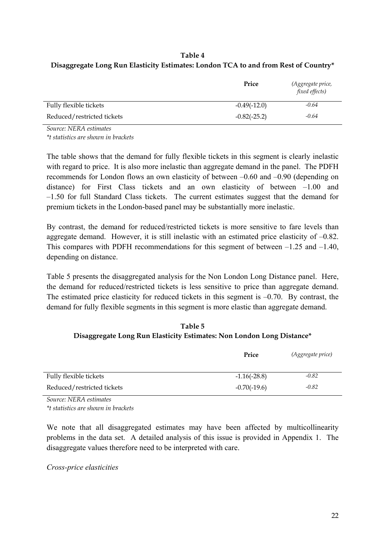# **Table 4 Disaggregate Long Run Elasticity Estimates: London TCA to and from Rest of Country\***

|                            | Price          | (Aggregate price,<br><i>fixed effects</i> ) |
|----------------------------|----------------|---------------------------------------------|
| Fully flexible tickets     | $-0.49(-12.0)$ | $-0.64$                                     |
| Reduced/restricted tickets | $-0.82(-25.2)$ | $-0.64$                                     |

*Source: NERA estimates \*t statistics are shown in brackets* 

The table shows that the demand for fully flexible tickets in this segment is clearly inelastic with regard to price. It is also more inelastic than aggregate demand in the panel. The PDFH recommends for London flows an own elasticity of between –0.60 and –0.90 (depending on distance) for First Class tickets and an own elasticity of between –1.00 and –1.50 for full Standard Class tickets. The current estimates suggest that the demand for premium tickets in the London-based panel may be substantially more inelastic.

By contrast, the demand for reduced/restricted tickets is more sensitive to fare levels than aggregate demand. However, it is still inelastic with an estimated price elasticity of –0.82. This compares with PDFH recommendations for this segment of between –1.25 and –1.40, depending on distance.

Table 5 presents the disaggregated analysis for the Non London Long Distance panel. Here, the demand for reduced/restricted tickets is less sensitive to price than aggregate demand. The estimated price elasticity for reduced tickets in this segment is  $-0.70$ . By contrast, the demand for fully flexible segments in this segment is more elastic than aggregate demand.

**Table 5 Disaggregate Long Run Elasticity Estimates: Non London Long Distance\*** 

|                            | Price          | (Aggregate price) |
|----------------------------|----------------|-------------------|
| Fully flexible tickets     | $-1.16(-28.8)$ | $-0.82$           |
| Reduced/restricted tickets | $-0.70(-19.6)$ | $-0.82$           |

*Source: NERA estimates \*t statistics are shown in brackets* 

We note that all disaggregated estimates may have been affected by multicollinearity problems in the data set. A detailed analysis of this issue is provided in Appendix 1. The disaggregate values therefore need to be interpreted with care.

*Cross-price elasticities*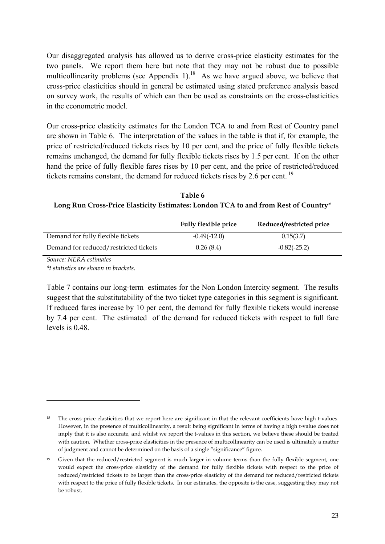Our disaggregated analysis has allowed us to derive cross-price elasticity estimates for the two panels. We report them here but note that they may not be robust due to possible multicollinearity problems (see Appendix 1).<sup>18</sup> As we have argued above, we believe that cross-price elasticities should in general be estimated using stated preference analysis based on survey work, the results of which can then be used as constraints on the cross-elasticities in the econometric model.

Our cross-price elasticity estimates for the London TCA to and from Rest of Country panel are shown in Table 6. The interpretation of the values in the table is that if, for example, the price of restricted/reduced tickets rises by 10 per cent, and the price of fully flexible tickets remains unchanged, the demand for fully flexible tickets rises by 1.5 per cent. If on the other hand the price of fully flexible fares rises by 10 per cent, and the price of restricted/reduced tickets remains constant, the demand for reduced tickets rises by 2.6 per cent. 19

**Table 6 Long Run Cross-Price Elasticity Estimates: London TCA to and from Rest of Country\*** 

|                                       | <b>Fully flexible price</b> | Reduced/restricted price |
|---------------------------------------|-----------------------------|--------------------------|
| Demand for fully flexible tickets     | $-0.49(-12.0)$              | 0.15(3.7)                |
| Demand for reduced/restricted tickets | 0.26(8.4)                   | $-0.82(-25.2)$           |

*Source: NERA estimates* 

 $\overline{a}$ 

*\*t statistics are shown in brackets.* 

Table 7 contains our long-term estimates for the Non London Intercity segment. The results suggest that the substitutability of the two ticket type categories in this segment is significant. If reduced fares increase by 10 per cent, the demand for fully flexible tickets would increase by 7.4 per cent. The estimated of the demand for reduced tickets with respect to full fare levels is 0.48.

<sup>&</sup>lt;sup>18</sup> The cross-price elasticities that we report here are significant in that the relevant coefficients have high t-values. However, in the presence of multicollinearity, a result being significant in terms of having a high t-value does not imply that it is also accurate, and whilst we report the t-values in this section, we believe these should be treated with caution. Whether cross-price elasticities in the presence of multicollinearity can be used is ultimately a matter of judgment and cannot be determined on the basis of a single "significance" figure.

<sup>&</sup>lt;sup>19</sup> Given that the reduced/restricted segment is much larger in volume terms than the fully flexible segment, one would expect the cross-price elasticity of the demand for fully flexible tickets with respect to the price of reduced/restricted tickets to be larger than the cross-price elasticity of the demand for reduced/restricted tickets with respect to the price of fully flexible tickets. In our estimates, the opposite is the case, suggesting they may not be robust.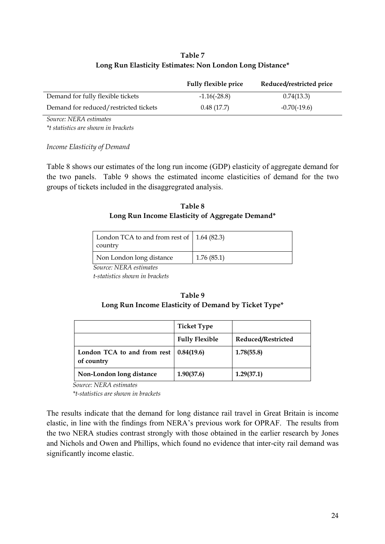# **Table 7 Long Run Elasticity Estimates: Non London Long Distance\***

|                                       | <b>Fully flexible price</b> | Reduced/restricted price |
|---------------------------------------|-----------------------------|--------------------------|
| Demand for fully flexible tickets     | $-1.16(-28.8)$              | 0.74(13.3)               |
| Demand for reduced/restricted tickets | 0.48(17.7)                  | $-0.70(-19.6)$           |

*Source: NERA estimates* 

*\*t statistics are shown in brackets* 

*Income Elasticity of Demand* 

Table 8 shows our estimates of the long run income (GDP) elasticity of aggregate demand for the two panels. Table 9 shows the estimated income elasticities of demand for the two groups of tickets included in the disaggregrated analysis.

# **Table 8 Long Run Income Elasticity of Aggregate Demand\***

| London TCA to and from rest of $\vert$ 1.64 (82.3)<br>country |            |
|---------------------------------------------------------------|------------|
| Non London long distance                                      | 1.76(85.1) |

*Source: NERA estimates* 

*t-statistics shown in brackets*

# **Table 9 Long Run Income Elasticity of Demand by Ticket Type\***

|                                           | <b>Ticket Type</b>    |                    |
|-------------------------------------------|-----------------------|--------------------|
|                                           | <b>Fully Flexible</b> | Reduced/Restricted |
| London TCA to and from rest<br>of country | 0.84(19.6)            | 1.78(55.8)         |
| Non-London long distance                  | 1.90(37.6)            | 1.29(37.1)         |

*Source: NERA estimates* 

*\*t-statistics are shown in brackets*

The results indicate that the demand for long distance rail travel in Great Britain is income elastic, in line with the findings from NERA's previous work for OPRAF. The results from the two NERA studies contrast strongly with those obtained in the earlier research by Jones and Nichols and Owen and Phillips, which found no evidence that inter-city rail demand was significantly income elastic.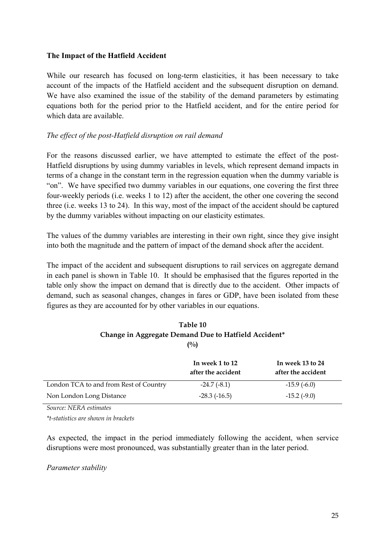# **The Impact of the Hatfield Accident**

While our research has focused on long-term elasticities, it has been necessary to take account of the impacts of the Hatfield accident and the subsequent disruption on demand. We have also examined the issue of the stability of the demand parameters by estimating equations both for the period prior to the Hatfield accident, and for the entire period for which data are available.

# *The effect of the post-Hatfield disruption on rail demand*

For the reasons discussed earlier, we have attempted to estimate the effect of the post-Hatfield disruptions by using dummy variables in levels, which represent demand impacts in terms of a change in the constant term in the regression equation when the dummy variable is "on". We have specified two dummy variables in our equations, one covering the first three four-weekly periods (i.e. weeks 1 to 12) after the accident, the other one covering the second three (i.e. weeks 13 to 24). In this way, most of the impact of the accident should be captured by the dummy variables without impacting on our elasticity estimates.

The values of the dummy variables are interesting in their own right, since they give insight into both the magnitude and the pattern of impact of the demand shock after the accident.

The impact of the accident and subsequent disruptions to rail services on aggregate demand in each panel is shown in Table 10. It should be emphasised that the figures reported in the table only show the impact on demand that is directly due to the accident. Other impacts of demand, such as seasonal changes, changes in fares or GDP, have been isolated from these figures as they are accounted for by other variables in our equations.

| Table 10                                             |
|------------------------------------------------------|
| Change in Aggregate Demand Due to Hatfield Accident* |
| $($ %)                                               |

|                                        | In week 1 to 12<br>after the accident | In week 13 to 24<br>after the accident |
|----------------------------------------|---------------------------------------|----------------------------------------|
| London TCA to and from Rest of Country | $-24.7(-8.1)$                         | $-15.9(-6.0)$                          |
| Non London Long Distance               | $-28.3$ $(-16.5)$                     | $-15.2$ ( $-9.0$ )                     |

*Source: NERA estimates* 

*\*t-statistics are shown in brackets* 

As expected, the impact in the period immediately following the accident, when service disruptions were most pronounced, was substantially greater than in the later period.

*Parameter stability*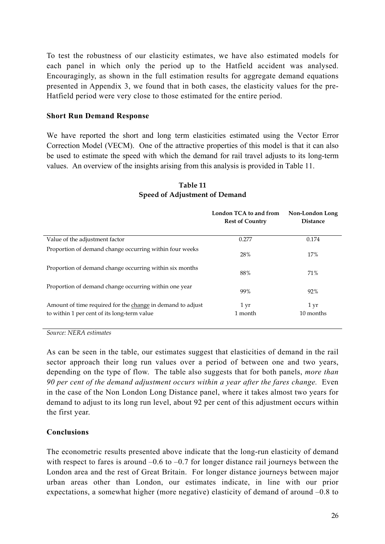To test the robustness of our elasticity estimates, we have also estimated models for each panel in which only the period up to the Hatfield accident was analysed. Encouragingly, as shown in the full estimation results for aggregate demand equations presented in Appendix 3, we found that in both cases, the elasticity values for the pre-Hatfield period were very close to those estimated for the entire period.

#### **Short Run Demand Response**

We have reported the short and long term elasticities estimated using the Vector Error Correction Model (VECM). One of the attractive properties of this model is that it can also be used to estimate the speed with which the demand for rail travel adjusts to its long-term values. An overview of the insights arising from this analysis is provided in Table 11.

|                                                                                                           | London TCA to and from<br><b>Rest of Country</b> | Non-London Long<br><b>Distance</b> |
|-----------------------------------------------------------------------------------------------------------|--------------------------------------------------|------------------------------------|
| Value of the adjustment factor                                                                            | 0.277                                            | 0.174                              |
| Proportion of demand change occurring within four weeks                                                   | 28%                                              | 17%                                |
| Proportion of demand change occurring within six months                                                   | 88%                                              | 71%                                |
| Proportion of demand change occurring within one year                                                     | 99%                                              | 92%                                |
| Amount of time required for the change in demand to adjust<br>to within 1 per cent of its long-term value | $1 \,\mathrm{yr}$<br>1 month                     | 1 yr<br>10 months                  |

# **Table 11 Speed of Adjustment of Demand**

*Source: NERA estimates* 

As can be seen in the table, our estimates suggest that elasticities of demand in the rail sector approach their long run values over a period of between one and two years, depending on the type of flow. The table also suggests that for both panels, *more than 90 per cent of the demand adjustment occurs within a year after the fares change.* Even in the case of the Non London Long Distance panel, where it takes almost two years for demand to adjust to its long run level, about 92 per cent of this adjustment occurs within the first year.

# **Conclusions**

The econometric results presented above indicate that the long-run elasticity of demand with respect to fares is around  $-0.6$  to  $-0.7$  for longer distance rail journeys between the London area and the rest of Great Britain. For longer distance journeys between major urban areas other than London, our estimates indicate, in line with our prior expectations, a somewhat higher (more negative) elasticity of demand of around –0.8 to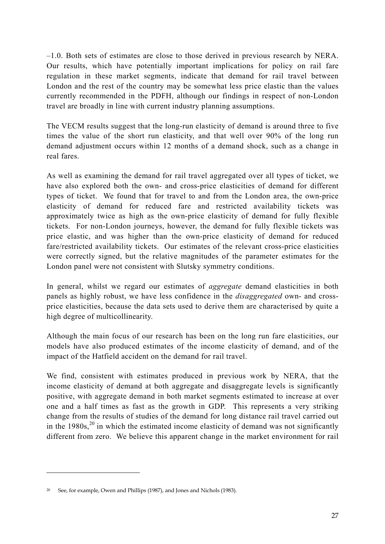–1.0. Both sets of estimates are close to those derived in previous research by NERA. Our results, which have potentially important implications for policy on rail fare regulation in these market segments, indicate that demand for rail travel between London and the rest of the country may be somewhat less price elastic than the values currently recommended in the PDFH, although our findings in respect of non-London travel are broadly in line with current industry planning assumptions.

The VECM results suggest that the long-run elasticity of demand is around three to five times the value of the short run elasticity, and that well over 90% of the long run demand adjustment occurs within 12 months of a demand shock, such as a change in real fares.

As well as examining the demand for rail travel aggregated over all types of ticket, we have also explored both the own- and cross-price elasticities of demand for different types of ticket. We found that for travel to and from the London area, the own-price elasticity of demand for reduced fare and restricted availability tickets was approximately twice as high as the own-price elasticity of demand for fully flexible tickets. For non-London journeys, however, the demand for fully flexible tickets was price elastic, and was higher than the own-price elasticity of demand for reduced fare/restricted availability tickets. Our estimates of the relevant cross-price elasticities were correctly signed, but the relative magnitudes of the parameter estimates for the London panel were not consistent with Slutsky symmetry conditions.

In general, whilst we regard our estimates of *aggregate* demand elasticities in both panels as highly robust, we have less confidence in the *disaggregated* own- and crossprice elasticities, because the data sets used to derive them are characterised by quite a high degree of multicollinearity.

Although the main focus of our research has been on the long run fare elasticities, our models have also produced estimates of the income elasticity of demand, and of the impact of the Hatfield accident on the demand for rail travel.

We find, consistent with estimates produced in previous work by NERA, that the income elasticity of demand at both aggregate and disaggregate levels is significantly positive, with aggregate demand in both market segments estimated to increase at over one and a half times as fast as the growth in GDP. This represents a very striking change from the results of studies of the demand for long distance rail travel carried out in the  $1980s$ ,<sup>20</sup> in which the estimated income elasticity of demand was not significantly different from zero. We believe this apparent change in the market environment for rail

 $\overline{a}$ 

<sup>&</sup>lt;sup>20</sup> See, for example, Owen and Phillips (1987), and Jones and Nichols (1983).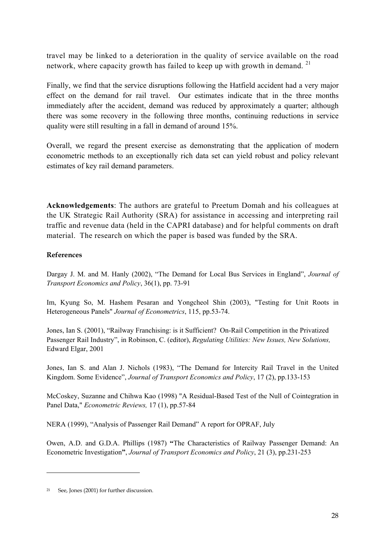travel may be linked to a deterioration in the quality of service available on the road network, where capacity growth has failed to keep up with growth in demand.<sup>21</sup>

Finally, we find that the service disruptions following the Hatfield accident had a very major effect on the demand for rail travel. Our estimates indicate that in the three months immediately after the accident, demand was reduced by approximately a quarter; although there was some recovery in the following three months, continuing reductions in service quality were still resulting in a fall in demand of around 15%.

Overall, we regard the present exercise as demonstrating that the application of modern econometric methods to an exceptionally rich data set can yield robust and policy relevant estimates of key rail demand parameters.

**Acknowledgements**: The authors are grateful to Preetum Domah and his colleagues at the UK Strategic Rail Authority (SRA) for assistance in accessing and interpreting rail traffic and revenue data (held in the CAPRI database) and for helpful comments on draft material. The research on which the paper is based was funded by the SRA.

# **References**

Dargay J. M. and M. Hanly (2002), "The Demand for Local Bus Services in England", *Journal of Transport Economics and Policy*, 36(1), pp. 73-91

Im, Kyung So, M. Hashem Pesaran and Yongcheol Shin (2003), "Testing for Unit Roots in Heterogeneous Panels" *Journal of Econometrics*, 115, pp.53-74.

Jones, Ian S. (2001), "Railway Franchising: is it Sufficient? On-Rail Competition in the Privatized Passenger Rail Industry", in Robinson, C. (editor), *Regulating Utilities: New Issues, New Solutions,*  Edward Elgar, 2001

Jones, Ian S. and Alan J. Nichols (1983), "The Demand for Intercity Rail Travel in the United Kingdom. Some Evidence", *Journal of Transport Economics and Policy*, 17 (2), pp.133-153

McCoskey, Suzanne and Chihwa Kao (1998) "A Residual-Based Test of the Null of Cointegration in Panel Data," *Econometric Reviews,* 17 (1), pp.57-84

NERA (1999), "Analysis of Passenger Rail Demand" A report for OPRAF, July

Owen, A.D. and G.D.A. Phillips (1987) **"**The Characteristics of Railway Passenger Demand: An Econometric Investigation**"**, *Journal of Transport Economics and Policy*, 21 (3), pp.231-253

 $\overline{a}$ 

<sup>21</sup> See, Jones (2001) for further discussion.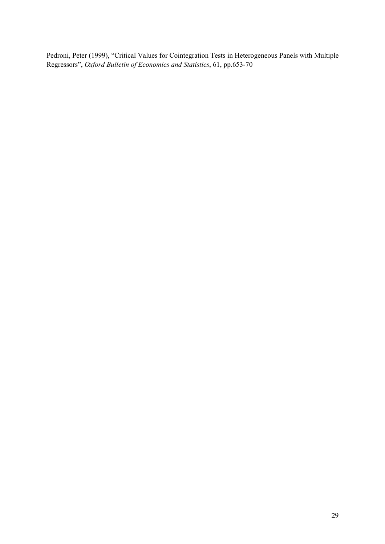Pedroni, Peter (1999), "Critical Values for Cointegration Tests in Heterogeneous Panels with Multiple Regressors", *Oxford Bulletin of Economics and Statistics*, 61, pp.653-70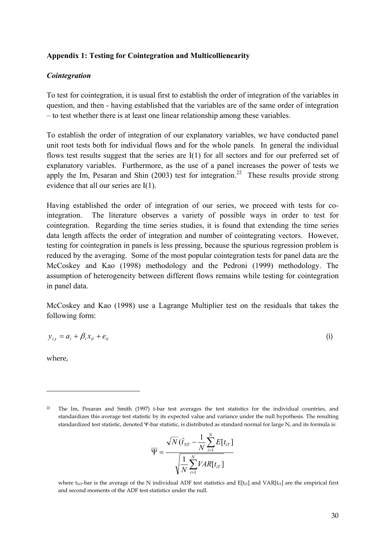#### **Appendix 1: Testing for Cointegration and Multicollienearity**

#### *Cointegration*

To test for cointegration, it is usual first to establish the order of integration of the variables in question, and then - having established that the variables are of the same order of integration – to test whether there is at least one linear relationship among these variables.

To establish the order of integration of our explanatory variables, we have conducted panel unit root tests both for individual flows and for the whole panels. In general the individual flows test results suggest that the series are I(1) for all sectors and for our preferred set of explanatory variables. Furthermore, as the use of a panel increases the power of tests we apply the Im. Pesaran and Shin (2003) test for integration.<sup>22</sup> These results provide strong evidence that all our series are I(1).

Having established the order of integration of our series, we proceed with tests for cointegration. The literature observes a variety of possible ways in order to test for cointegration. Regarding the time series studies, it is found that extending the time series data length affects the order of integration and number of cointegrating vectors. However, testing for cointegration in panels is less pressing, because the spurious regression problem is reduced by the averaging. Some of the most popular cointegration tests for panel data are the McCoskey and Kao (1998) methodology and the Pedroni (1999) methodology. The assumption of heterogeneity between different flows remains while testing for cointegration in panel data.

McCoskey and Kao (1998) use a Lagrange Multiplier test on the residuals that takes the following form:

$$
y_{i,t} = a_i + \beta_i x_{it} + e_{it} \tag{i}
$$

where,

 $\overline{a}$ 

$$
\overline{\Psi} = \frac{\sqrt{N}(\overline{t}_{NT} - \frac{1}{N} \sum_{i=1}^{N} E[t_{iT}])}{\sqrt{\frac{1}{N} \sum_{i=1}^{N} VAR[t_{iT}]}}
$$

where t<sub>NT</sub>-bar is the average of the N individual ADF test statistics and  $E[t_{tr}]$  and VAR[t<sub>IT</sub>] are the empirical first and second moments of the ADF test statistics under the null.

<sup>22</sup> The Im, Pesaran and Smith (1997) t-bar test averages the test statistics for the individual countries, and standardizes this average test statistic by its expected value and variance under the null hypothesis. The resulting standardized test statistic, denoted Ψ-bar statistic, is distributed as standard normal for large N, and its formula is: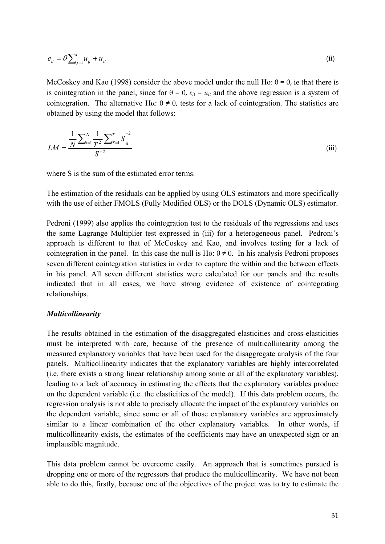$$
e_{it} = \theta \sum_{j=1}^{t} u_{ij} + u_{it} \tag{ii}
$$

McCoskey and Kao (1998) consider the above model under the null Ho:  $\theta = 0$ , ie that there is is cointegration in the panel, since for  $\theta = 0$ ,  $e_{it} = u_{it}$  and the above regression is a system of cointegration. The alternative H $\alpha$ :  $\theta \neq 0$ , tests for a lack of cointegration. The statistics are obtained by using the model that follows:

$$
LM = \frac{\frac{1}{N} \sum_{i=1}^{N} \frac{1}{T^2} \sum_{i=1}^{T} S_{it}^{+2}}{S^{+2}}
$$
(iii)

where S is the sum of the estimated error terms.

The estimation of the residuals can be applied by using OLS estimators and more specifically with the use of either FMOLS (Fully Modified OLS) or the DOLS (Dynamic OLS) estimator.

Pedroni (1999) also applies the cointegration test to the residuals of the regressions and uses the same Lagrange Multiplier test expressed in (iii) for a heterogeneous panel. Pedroni's approach is different to that of McCoskey and Kao, and involves testing for a lack of cointegration in the panel. In this case the null is Ho:  $\theta \neq 0$ . In his analysis Pedroni proposes seven different cointegration statistics in order to capture the within and the between effects in his panel. All seven different statistics were calculated for our panels and the results indicated that in all cases, we have strong evidence of existence of cointegrating relationships.

#### *Multicollinearity*

The results obtained in the estimation of the disaggregated elasticities and cross-elasticities must be interpreted with care, because of the presence of multicollinearity among the measured explanatory variables that have been used for the disaggregate analysis of the four panels. Multicollinearity indicates that the explanatory variables are highly intercorrelated (i.e. there exists a strong linear relationship among some or all of the explanatory variables), leading to a lack of accuracy in estimating the effects that the explanatory variables produce on the dependent variable (i.e. the elasticities of the model). If this data problem occurs, the regression analysis is not able to precisely allocate the impact of the explanatory variables on the dependent variable, since some or all of those explanatory variables are approximately similar to a linear combination of the other explanatory variables. In other words, if multicollinearity exists, the estimates of the coefficients may have an unexpected sign or an implausible magnitude.

This data problem cannot be overcome easily. An approach that is sometimes pursued is dropping one or more of the regressors that produce the multicollinearity. We have not been able to do this, firstly, because one of the objectives of the project was to try to estimate the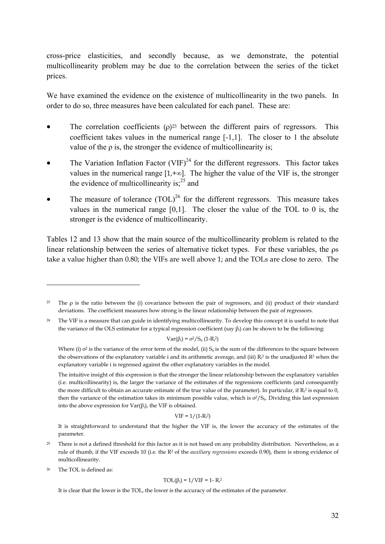cross-price elasticities, and secondly because, as we demonstrate, the potential multicollinearity problem may be due to the correlation between the series of the ticket prices.

We have examined the evidence on the existence of multicollinearity in the two panels. In order to do so, three measures have been calculated for each panel. These are:

- The correlation coefficients  $(\rho)^{23}$  between the different pairs of regressors. This coefficient takes values in the numerical range [-1,1]. The closer to 1 the absolute value of the  $\rho$  is, the stronger the evidence of multicollinearity is;
- The Variation Inflation Factor (VIF) $^{24}$  for the different regressors. This factor takes values in the numerical range  $[1, +\infty]$ . The higher the value of the VIF is, the stronger the evidence of multicollinearity is; $^{25}$  and
- The measure of tolerance  $(TOL)^{26}$  for the different regressors. This measure takes values in the numerical range [0,1]. The closer the value of the TOL to 0 is, the stronger is the evidence of multicollinearity.

Tables 12 and 13 show that the main source of the multicollinearity problem is related to the linear relationship between the series of alternative ticket types. For these variables, the ρs take a value higher than 0.80; the VIFs are well above 1; and the TOLs are close to zero. The

$$
Var(\beta_i) = \sigma^2/S_{ii} (1 - R_i^2)
$$

Where (i)  $\sigma^2$  is the variance of the error term of the model, (ii)  $S_{ii}$  is the sum of the differences to the square between the observations of the explanatory variable i and its arithmetic average, and (iii)  $R_i^2$  is the unadjusted  $R^2$  when the explanatory variable i is regressed against the other explanatory variables in the model.

The intuitive insight of this expression is that the stronger the linear relationship between the explanatory variables (i.e. multicollinearity) is, the larger the variance of the estimates of the regressions coefficients (and consequently the more difficult to obtain an accurate estimate of the true value of the parameter). In particular, if  $R_i^2$  is equal to 0, then the variance of the estimation takes its minimum possible value, which is  $\sigma^2/S_{ii}$ . Dividing this last expression into the above expression for  $\text{Var}(\beta_i)$ , the VIF is obtained.

 $VIF = 1/(1-R<sub>i</sub><sup>2</sup>)$ 

It is straightforward to understand that the higher the VIF is, the lower the accuracy of the estimates of the parameter.

- <sup>25</sup> There is not a defined threshold for this factor as it is not based on any probability distribution. Nevertheless, as a rule of thumb, if the VIF exceeds 10 (i.e. the R2 of the *auxiliary regressions* exceeds 0.90), there is strong evidence of multicollinearity.
- 26 The TOL is defined as:

 $\overline{a}$ 

$$
TOL(\beta_i) = 1/VIF = 1 - R_i^2
$$

It is clear that the lower is the TOL, the lower is the accuracy of the estimates of the parameter.

<sup>23</sup> The ρ is the ratio between the (i) covariance between the pair of regressors, and (ii) product of their standard deviations. The coefficient measures how strong is the linear relationship between the pair of regressors.

<sup>&</sup>lt;sup>24</sup> The VIF is a measure that can guide in identifying multicollinearity. To develop this concept it is useful to note that the variance of the OLS estimator for a typical regression coefficient (say  $\beta_i$ ) can be shown to be the following: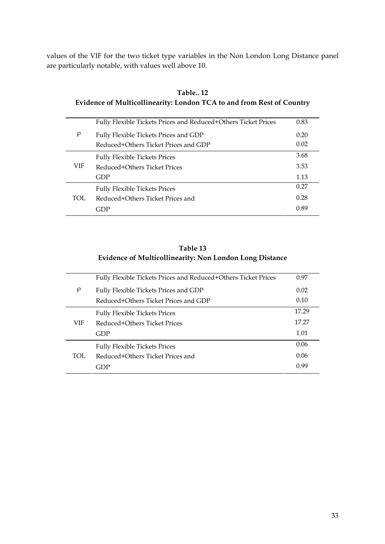values of the VIF for the two ticket type variables in the Non London Long Distance panel are particularly notable, with values well above 10.

|            | Fully Flexible Tickets Prices and Reduced+Others Ticket Prices | 0.83 |
|------------|----------------------------------------------------------------|------|
| $\rho$     | Fully Flexible Tickets Prices and GDP                          | 0.20 |
|            | Reduced+Others Ticket Prices and GDP                           | 0.02 |
|            | <b>Fully Flexible Tickets Prices</b>                           | 3.68 |
| <b>VIF</b> | Reduced+Others Ticket Prices                                   | 3.53 |
|            | GDP                                                            | 1.13 |
|            | <b>Fully Flexible Tickets Prices</b>                           | 0.27 |
| TOL.       | Reduced+Others Ticket Prices and                               | 0.28 |
|            | GDP                                                            | 0.89 |

**Table.. 12 Evidence of Multicollinearity: London TCA to and from Rest of Country** 

# **Table 13 Evidence of Multicollinearity: Non London Long Distance**

|        | Fully Flexible Tickets Prices and Reduced+Others Ticket Prices | 0.97  |
|--------|----------------------------------------------------------------|-------|
| $\rho$ | Fully Flexible Tickets Prices and GDP                          | 0.02  |
|        | Reduced+Others Ticket Prices and GDP                           | 0.10  |
|        | <b>Fully Flexible Tickets Prices</b>                           | 17.29 |
| VIF    | Reduced+Others Ticket Prices                                   | 17.27 |
|        | GDP                                                            | 1.01  |
|        | <b>Fully Flexible Tickets Prices</b>                           | 0.06  |
| TOL.   | Reduced+Others Ticket Prices and                               | 0.06  |
|        | GDP                                                            | 0.99  |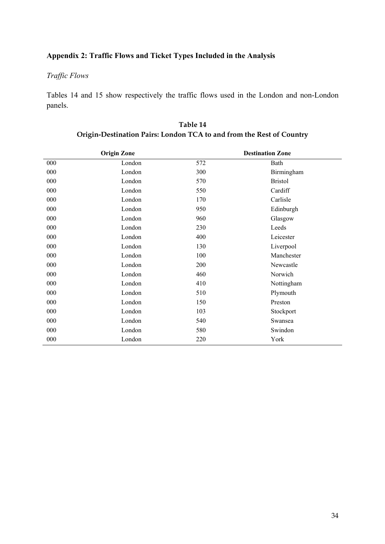# **Appendix 2: Traffic Flows and Ticket Types Included in the Analysis**

# *Traffic Flows*

Tables 14 and 15 show respectively the traffic flows used in the London and non-London panels.

|     | <b>Origin Zone</b> |     | <b>Destination Zone</b> |  |
|-----|--------------------|-----|-------------------------|--|
| 000 | London             | 572 | Bath                    |  |
| 000 | London             | 300 | Birmingham              |  |
| 000 | London             | 570 | <b>Bristol</b>          |  |
| 000 | London             | 550 | Cardiff                 |  |
| 000 | London             | 170 | Carlisle                |  |
| 000 | London             | 950 | Edinburgh               |  |
| 000 | London             | 960 | Glasgow                 |  |
| 000 | London             | 230 | Leeds                   |  |
| 000 | London             | 400 | Leicester               |  |
| 000 | London             | 130 | Liverpool               |  |
| 000 | London             | 100 | Manchester              |  |
| 000 | London             | 200 | Newcastle               |  |
| 000 | London             | 460 | Norwich                 |  |
| 000 | London             | 410 | Nottingham              |  |
| 000 | London             | 510 | Plymouth                |  |
| 000 | London             | 150 | Preston                 |  |
| 000 | London             | 103 | Stockport               |  |
| 000 | London             | 540 | Swansea                 |  |
| 000 | London             | 580 | Swindon                 |  |
| 000 | London             | 220 | York                    |  |

**Table 14 Origin-Destination Pairs: London TCA to and from the Rest of Country**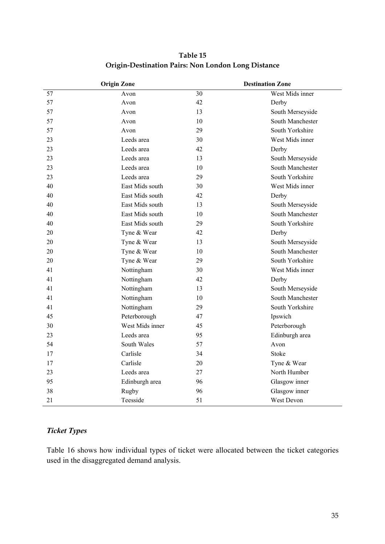|    | <b>Origin Zone</b> |    | <b>Destination Zone</b> |
|----|--------------------|----|-------------------------|
| 57 | Avon               | 30 | West Mids inner         |
| 57 | Avon               | 42 | Derby                   |
| 57 | Avon               | 13 | South Merseyside        |
| 57 | Avon               | 10 | South Manchester        |
| 57 | Avon               | 29 | South Yorkshire         |
| 23 | Leeds area         | 30 | West Mids inner         |
| 23 | Leeds area         | 42 | Derby                   |
| 23 | Leeds area         | 13 | South Merseyside        |
| 23 | Leeds area         | 10 | South Manchester        |
| 23 | Leeds area         | 29 | South Yorkshire         |
| 40 | East Mids south    | 30 | West Mids inner         |
| 40 | East Mids south    | 42 | Derby                   |
| 40 | East Mids south    | 13 | South Merseyside        |
| 40 | East Mids south    | 10 | South Manchester        |
| 40 | East Mids south    | 29 | South Yorkshire         |
| 20 | Tyne & Wear        | 42 | Derby                   |
| 20 | Tyne & Wear        | 13 | South Merseyside        |
| 20 | Tyne & Wear        | 10 | South Manchester        |
| 20 | Tyne & Wear        | 29 | South Yorkshire         |
| 41 | Nottingham         | 30 | West Mids inner         |
| 41 | Nottingham         | 42 | Derby                   |
| 41 | Nottingham         | 13 | South Merseyside        |
| 41 | Nottingham         | 10 | South Manchester        |
| 41 | Nottingham         | 29 | South Yorkshire         |
| 45 | Peterborough       | 47 | Ipswich                 |
| 30 | West Mids inner    | 45 | Peterborough            |
| 23 | Leeds area         | 95 | Edinburgh area          |
| 54 | South Wales        | 57 | Avon                    |
| 17 | Carlisle           | 34 | Stoke                   |
| 17 | Carlisle           | 20 | Tyne & Wear             |
| 23 | Leeds area         | 27 | North Humber            |
| 95 | Edinburgh area     | 96 | Glasgow inner           |
| 38 | Rugby              | 96 | Glasgow inner           |
| 21 | Teesside           | 51 | West Devon              |

**Table 15 Origin-Destination Pairs: Non London Long Distance** 

# *Ticket Types*

Table 16 shows how individual types of ticket were allocated between the ticket categories used in the disaggregated demand analysis.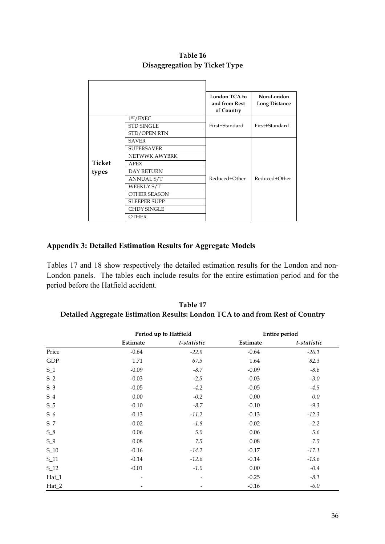|        |                       | <b>London TCA to</b><br>and from Rest<br>of Country | Non-London<br><b>Long Distance</b> |
|--------|-----------------------|-----------------------------------------------------|------------------------------------|
|        | 1 <sup>ST</sup> /EXEC |                                                     |                                    |
|        | <b>STD SINGLE</b>     | First+Standard                                      | First+Standard                     |
|        | <b>STD/OPEN RTN</b>   |                                                     |                                    |
|        | <b>SAVER</b>          |                                                     |                                    |
|        | <b>SUPERSAVER</b>     |                                                     |                                    |
|        | NETWWK AWYBRK         |                                                     |                                    |
| Ticket | <b>APEX</b>           |                                                     |                                    |
| types  | <b>DAY RETURN</b>     |                                                     |                                    |
|        | <b>ANNUAL S/T</b>     | Reduced+Other                                       | Reduced+Other                      |
|        | WEEKLY S/T            |                                                     |                                    |
|        | OTHER SEASON          |                                                     |                                    |
|        | <b>SLEEPER SUPP</b>   |                                                     |                                    |
|        | <b>CHDY SINGLE</b>    |                                                     |                                    |
|        | OTHER                 |                                                     |                                    |

# **Table 16 Disaggregation by Ticket Type**

# **Appendix 3: Detailed Estimation Results for Aggregate Models**

Tables 17 and 18 show respectively the detailed estimation results for the London and non-London panels. The tables each include results for the entire estimation period and for the period before the Hatfield accident.

| Table 17                                                                      |
|-------------------------------------------------------------------------------|
| Detailed Aggregate Estimation Results: London TCA to and from Rest of Country |

|          | Period up to Hatfield    |             | <b>Entire period</b> |             |
|----------|--------------------------|-------------|----------------------|-------------|
|          | Estimate                 | t-statistic | Estimate             | t-statistic |
| Price    | $-0.64$                  | $-22.9$     | $-0.64$              | $-26.1$     |
| GDP      | 1.71                     | 67.5        | 1.64                 | 82.3        |
| $S_1$    | $-0.09$                  | $-8.7$      | $-0.09$              | $-8.6$      |
| $S_2$    | $-0.03$                  | $-2.5$      | $-0.03$              | $-3.0$      |
| $S_3$    | $-0.05$                  | $-4.2$      | $-0.05$              | $-4.5$      |
| $S_4$    | $0.00\,$                 | $-0.2$      | 0.00                 | 0.0         |
| $S_5$    | $-0.10$                  | $-8.7$      | $-0.10$              | $-9.3$      |
| $S_6$    | $-0.13$                  | $-11.2$     | $-0.13$              | $-12.3$     |
| $S_7$    | $-0.02$                  | $-1.8$      | $-0.02$              | $-2.2$      |
| $S_8$    | 0.06                     | 5.0         | 0.06                 | 5.6         |
| $S_9$    | 0.08                     | 7.5         | 0.08                 | 7.5         |
| $S_1$ 10 | $-0.16$                  | $-14.2$     | $-0.17$              | $-17.1$     |
| S_11     | $-0.14$                  | $-12.6$     | $-0.14$              | $-13.6$     |
| $S_12$   | $-0.01$                  | $-1.0$      | 0.00                 | $-0.4$      |
| Hat_1    | $\overline{\phantom{a}}$ |             | $-0.25$              | $-8.1$      |
| $Hat_2$  |                          |             | $-0.16$              | $-6.0$      |